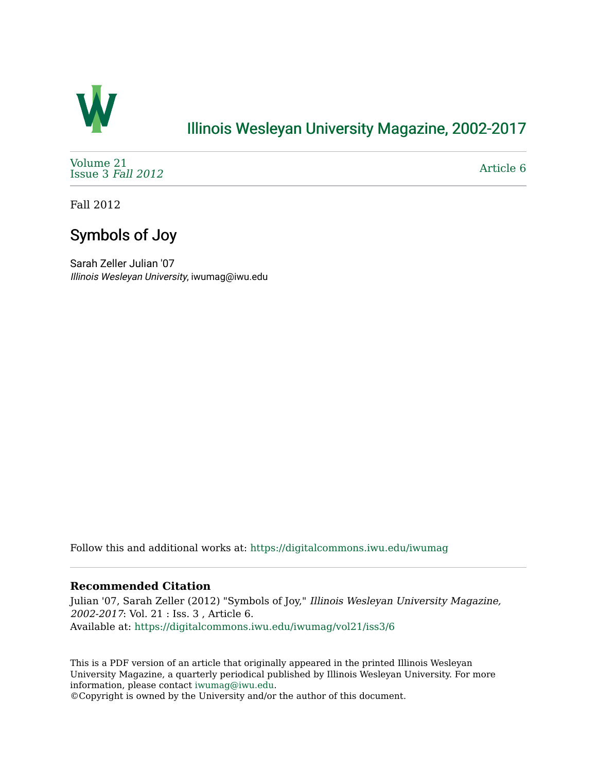

## [Illinois Wesleyan University Magazine, 2002-2017](https://digitalcommons.iwu.edu/iwumag)

[Volume 21](https://digitalcommons.iwu.edu/iwumag/vol21)  [Issue 3](https://digitalcommons.iwu.edu/iwumag/vol21/iss3) Fall 2012

[Article 6](https://digitalcommons.iwu.edu/iwumag/vol21/iss3/6) 

Fall 2012

# Symbols of Joy

Sarah Zeller Julian '07 Illinois Wesleyan University, iwumag@iwu.edu

Follow this and additional works at: [https://digitalcommons.iwu.edu/iwumag](https://digitalcommons.iwu.edu/iwumag?utm_source=digitalcommons.iwu.edu%2Fiwumag%2Fvol21%2Fiss3%2F6&utm_medium=PDF&utm_campaign=PDFCoverPages) 

### **Recommended Citation**

Julian '07, Sarah Zeller (2012) "Symbols of Joy," Illinois Wesleyan University Magazine, 2002-2017: Vol. 21 : Iss. 3 , Article 6. Available at: [https://digitalcommons.iwu.edu/iwumag/vol21/iss3/6](https://digitalcommons.iwu.edu/iwumag/vol21/iss3/6?utm_source=digitalcommons.iwu.edu%2Fiwumag%2Fvol21%2Fiss3%2F6&utm_medium=PDF&utm_campaign=PDFCoverPages)

This is a PDF version of an article that originally appeared in the printed Illinois Wesleyan University Magazine, a quarterly periodical published by Illinois Wesleyan University. For more information, please contact [iwumag@iwu.edu](mailto:iwumag@iwu.edu).

©Copyright is owned by the University and/or the author of this document.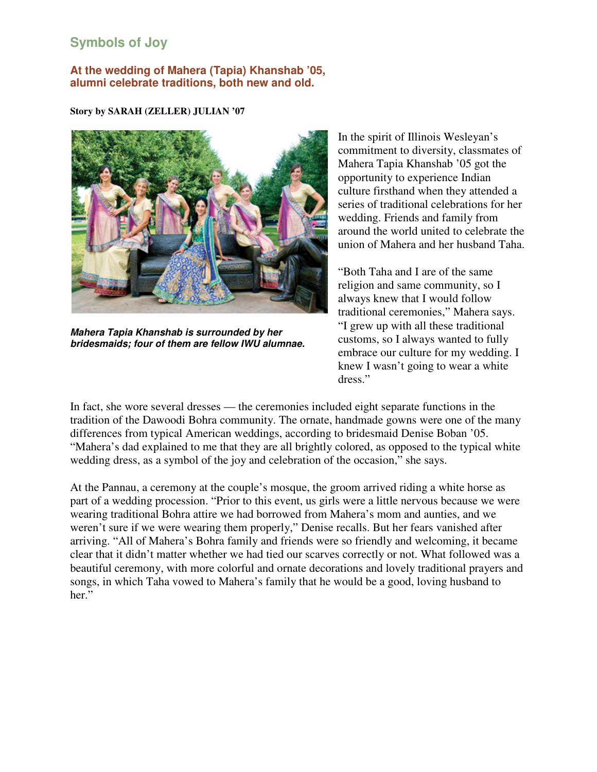## **Symbols of Joy**

### **At the wedding of Mahera (Tapia) Khanshab '05, alumni celebrate traditions, both new and old.**

#### **Story by SARAH (ZELLER) JULIAN '07**



**Mahera Tapia Khanshab is surrounded by her bridesmaids; four of them are fellow IWU alumnae.**

In the spirit of Illinois Wesleyan's commitment to diversity, classmates of Mahera Tapia Khanshab '05 got the opportunity to experience Indian culture firsthand when they attended a series of traditional celebrations for her wedding. Friends and family from around the world united to celebrate the union of Mahera and her husband Taha.

"Both Taha and I are of the same religion and same community, so I always knew that I would follow traditional ceremonies," Mahera says. "I grew up with all these traditional customs, so I always wanted to fully embrace our culture for my wedding. I knew I wasn't going to wear a white dress."

In fact, she wore several dresses — the ceremonies included eight separate functions in the tradition of the Dawoodi Bohra community. The ornate, handmade gowns were one of the many differences from typical American weddings, according to bridesmaid Denise Boban '05. "Mahera's dad explained to me that they are all brightly colored, as opposed to the typical white wedding dress, as a symbol of the joy and celebration of the occasion," she says.

At the Pannau, a ceremony at the couple's mosque, the groom arrived riding a white horse as part of a wedding procession. "Prior to this event, us girls were a little nervous because we were wearing traditional Bohra attire we had borrowed from Mahera's mom and aunties, and we weren't sure if we were wearing them properly," Denise recalls. But her fears vanished after arriving. "All of Mahera's Bohra family and friends were so friendly and welcoming, it became clear that it didn't matter whether we had tied our scarves correctly or not. What followed was a beautiful ceremony, with more colorful and ornate decorations and lovely traditional prayers and songs, in which Taha vowed to Mahera's family that he would be a good, loving husband to her."